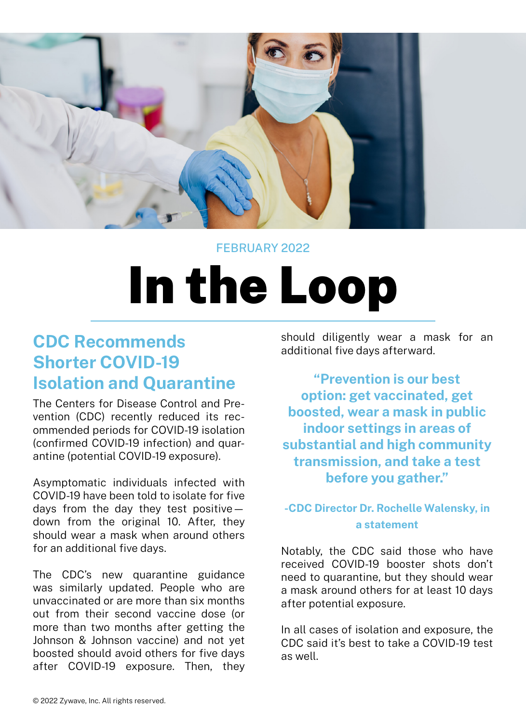

#### FEBRUARY 2022

# In the Loop

# **CDC Recommends Shorter COVID-19 Isolation and Quarantine**

The Centers for Disease Control and Prevention (CDC) recently reduced its recommended periods for COVID-19 isolation (confirmed COVID-19 infection) and quarantine (potential COVID-19 exposure).

Asymptomatic individuals infected with COVID-19 have been told to isolate for five days from the day they test positive down from the original 10. After, they should wear a mask when around others for an additional five days.

The CDC's new quarantine guidance was similarly updated. People who are unvaccinated or are more than six months out from their second vaccine dose (or more than two months after getting the Johnson & Johnson vaccine) and not yet boosted should avoid others for five days after COVID-19 exposure. Then, they

should diligently wear a mask for an additional five days afterward.

**"Prevention is our best option: get vaccinated, get boosted, wear a mask in public indoor settings in areas of substantial and high community transmission, and take a test before you gather."**

### **-CDC Director Dr. Rochelle Walensky, in a statement**

Notably, the CDC said those who have received COVID-19 booster shots don't need to quarantine, but they should wear a mask around others for at least 10 days after potential exposure.

In all cases of isolation and exposure, the CDC said it's best to take a COVID-19 test as well.